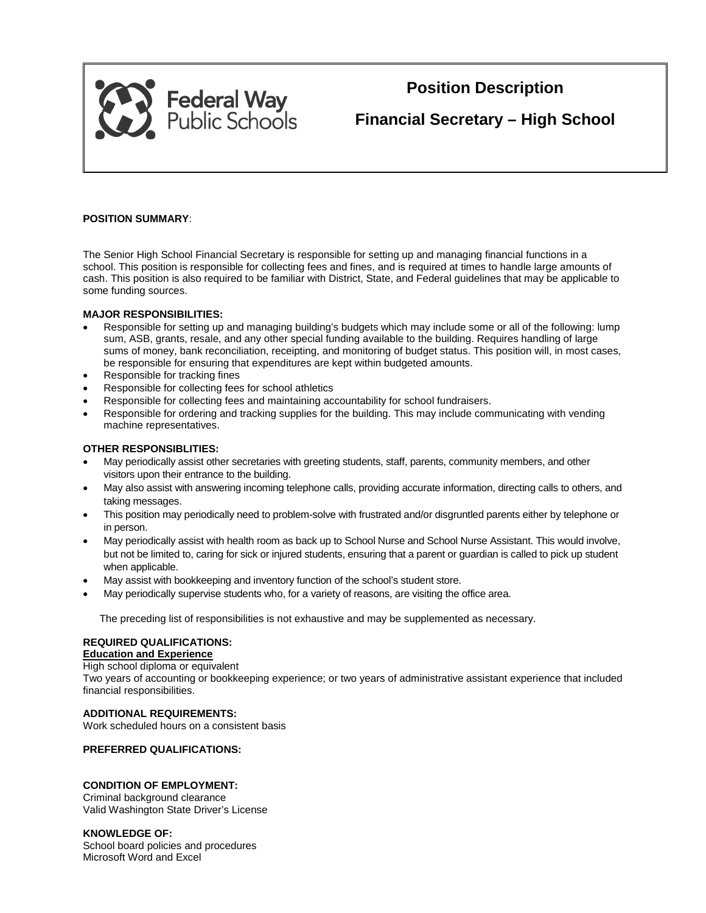

# **Position Description**

**Financial Secretary – High School**

# **POSITION SUMMARY**:

The Senior High School Financial Secretary is responsible for setting up and managing financial functions in a school. This position is responsible for collecting fees and fines, and is required at times to handle large amounts of cash. This position is also required to be familiar with District, State, and Federal guidelines that may be applicable to some funding sources.

## **MAJOR RESPONSIBILITIES:**

- Responsible for setting up and managing building's budgets which may include some or all of the following: lump sum, ASB, grants, resale, and any other special funding available to the building. Requires handling of large sums of money, bank reconciliation, receipting, and monitoring of budget status. This position will, in most cases, be responsible for ensuring that expenditures are kept within budgeted amounts.
- Responsible for tracking fines
- Responsible for collecting fees for school athletics
- Responsible for collecting fees and maintaining accountability for school fundraisers.
- Responsible for ordering and tracking supplies for the building. This may include communicating with vending machine representatives.

## **OTHER RESPONSIBLITIES:**

- May periodically assist other secretaries with greeting students, staff, parents, community members, and other visitors upon their entrance to the building.
- May also assist with answering incoming telephone calls, providing accurate information, directing calls to others, and taking messages.
- This position may periodically need to problem-solve with frustrated and/or disgruntled parents either by telephone or in person.
- May periodically assist with health room as back up to School Nurse and School Nurse Assistant. This would involve, but not be limited to, caring for sick or injured students, ensuring that a parent or guardian is called to pick up student when applicable.
- May assist with bookkeeping and inventory function of the school's student store.
- May periodically supervise students who, for a variety of reasons, are visiting the office area.

The preceding list of responsibilities is not exhaustive and may be supplemented as necessary.

# **REQUIRED QUALIFICATIONS:**

## **Education and Experience**

High school diploma or equivalent

Two years of accounting or bookkeeping experience; or two years of administrative assistant experience that included financial responsibilities.

## **ADDITIONAL REQUIREMENTS:**

Work scheduled hours on a consistent basis

# **PREFERRED QUALIFICATIONS:**

## **CONDITION OF EMPLOYMENT:**

Criminal background clearance Valid Washington State Driver's License

#### **KNOWLEDGE OF:**

School board policies and procedures Microsoft Word and Excel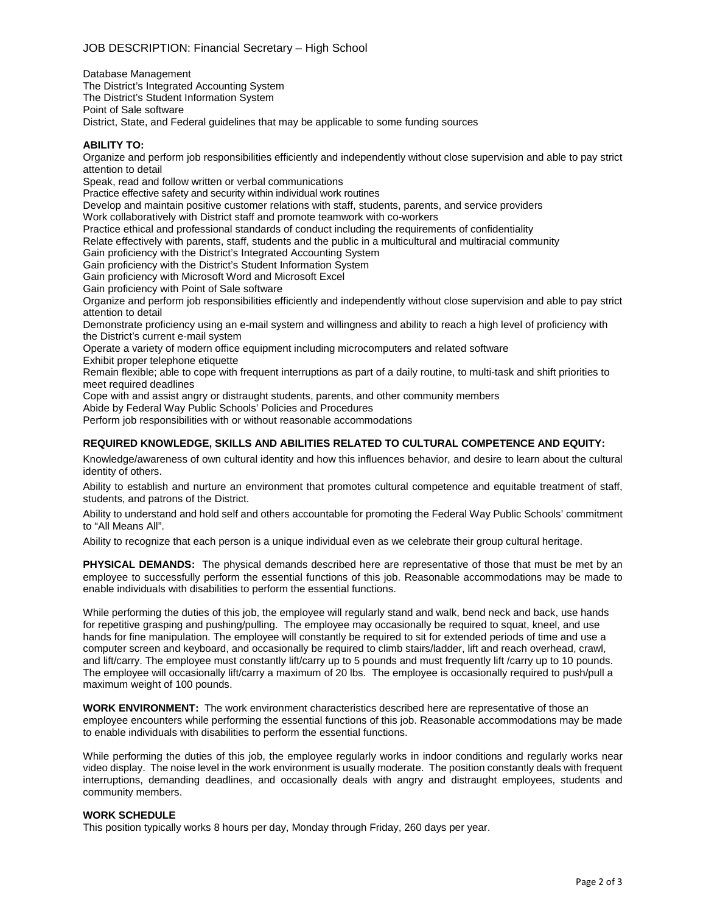Database Management The District's Integrated Accounting System The District's Student Information System Point of Sale software

District, State, and Federal guidelines that may be applicable to some funding sources

### **ABILITY TO:**

Organize and perform job responsibilities efficiently and independently without close supervision and able to pay strict attention to detail

Speak, read and follow written or verbal communications

Practice effective safety and security within individual work routines

Develop and maintain positive customer relations with staff, students, parents, and service providers

Work collaboratively with District staff and promote teamwork with co-workers

Practice ethical and professional standards of conduct including the requirements of confidentiality

Relate effectively with parents, staff, students and the public in a multicultural and multiracial community

Gain proficiency with the District's Integrated Accounting System

Gain proficiency with the District's Student Information System

Gain proficiency with Microsoft Word and Microsoft Excel

Gain proficiency with Point of Sale software

Organize and perform job responsibilities efficiently and independently without close supervision and able to pay strict attention to detail

Demonstrate proficiency using an e-mail system and willingness and ability to reach a high level of proficiency with the District's current e-mail system

Operate a variety of modern office equipment including microcomputers and related software Exhibit proper telephone etiquette

Remain flexible; able to cope with frequent interruptions as part of a daily routine, to multi-task and shift priorities to meet required deadlines

Cope with and assist angry or distraught students, parents, and other community members

Abide by Federal Way Public Schools' Policies and Procedures

Perform job responsibilities with or without reasonable accommodations

## **REQUIRED KNOWLEDGE, SKILLS AND ABILITIES RELATED TO CULTURAL COMPETENCE AND EQUITY:**

Knowledge/awareness of own cultural identity and how this influences behavior, and desire to learn about the cultural identity of others.

Ability to establish and nurture an environment that promotes cultural competence and equitable treatment of staff, students, and patrons of the District.

Ability to understand and hold self and others accountable for promoting the Federal Way Public Schools' commitment to "All Means All".

Ability to recognize that each person is a unique individual even as we celebrate their group cultural heritage.

**PHYSICAL DEMANDS:** The physical demands described here are representative of those that must be met by an employee to successfully perform the essential functions of this job. Reasonable accommodations may be made to enable individuals with disabilities to perform the essential functions.

While performing the duties of this job, the employee will regularly stand and walk, bend neck and back, use hands for repetitive grasping and pushing/pulling. The employee may occasionally be required to squat, kneel, and use hands for fine manipulation. The employee will constantly be required to sit for extended periods of time and use a computer screen and keyboard, and occasionally be required to climb stairs/ladder, lift and reach overhead, crawl, and lift/carry. The employee must constantly lift/carry up to 5 pounds and must frequently lift /carry up to 10 pounds. The employee will occasionally lift/carry a maximum of 20 lbs. The employee is occasionally required to push/pull a maximum weight of 100 pounds.

**WORK ENVIRONMENT:** The work environment characteristics described here are representative of those an employee encounters while performing the essential functions of this job. Reasonable accommodations may be made to enable individuals with disabilities to perform the essential functions.

While performing the duties of this job, the employee regularly works in indoor conditions and regularly works near video display. The noise level in the work environment is usually moderate. The position constantly deals with frequent interruptions, demanding deadlines, and occasionally deals with angry and distraught employees, students and community members.

#### **WORK SCHEDULE**

This position typically works 8 hours per day, Monday through Friday, 260 days per year.